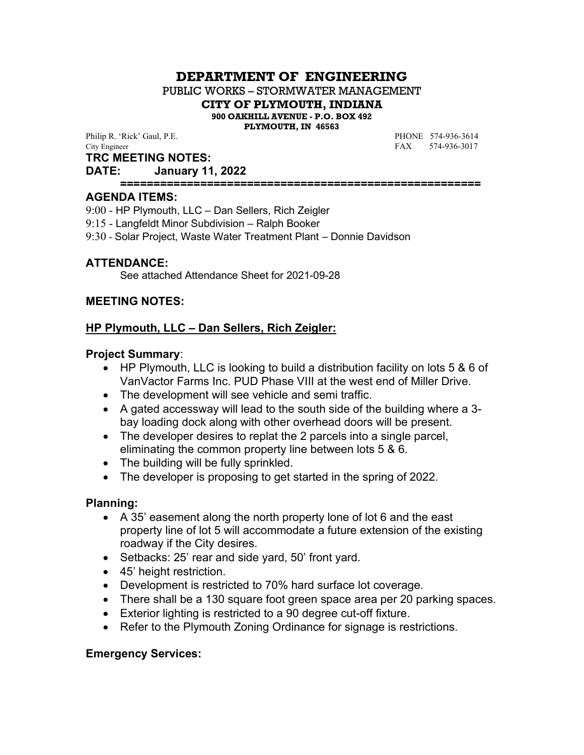# **DEPARTMENT OF ENGINEERING**

PUBLIC WORKS – STORMWATER MANAGEMENT

**CITY OF PLYMOUTH, INDIANA**

**900 OAKHILL AVENUE - P.O. BOX 492**

**PLYMOUTH, IN 46563**

Philip R. 'Rick' Gaul, P.E. **PHONE** 574-936-3614 City Engineer FAX 574-936-3017

**TRC MEETING NOTES:**

#### **DATE: January 11, 2022**

**======================================================**

#### **AGENDA ITEMS:**

9:00 - HP Plymouth, LLC – Dan Sellers, Rich Zeigler

- 9:15 Langfeldt Minor Subdivision Ralph Booker
- 9:30 Solar Project, Waste Water Treatment Plant Donnie Davidson

# **ATTENDANCE:**

See attached Attendance Sheet for 2021-09-28

## **MEETING NOTES:**

# **HP Plymouth, LLC – Dan Sellers, Rich Zeigler:**

## **Project Summary**:

- HP Plymouth, LLC is looking to build a distribution facility on lots 5 & 6 of VanVactor Farms Inc. PUD Phase VIII at the west end of Miller Drive.
- The development will see vehicle and semi traffic.
- A gated accessway will lead to the south side of the building where a 3 bay loading dock along with other overhead doors will be present.
- The developer desires to replat the 2 parcels into a single parcel, eliminating the common property line between lots 5 & 6.
- The building will be fully sprinkled.
- The developer is proposing to get started in the spring of 2022.

## **Planning:**

- A 35' easement along the north property lone of lot 6 and the east property line of lot 5 will accommodate a future extension of the existing roadway if the City desires.
- Setbacks: 25' rear and side yard, 50' front yard.
- 45' height restriction.
- Development is restricted to 70% hard surface lot coverage.
- There shall be a 130 square foot green space area per 20 parking spaces.
- Exterior lighting is restricted to a 90 degree cut-off fixture.
- Refer to the Plymouth Zoning Ordinance for signage is restrictions.

# **Emergency Services:**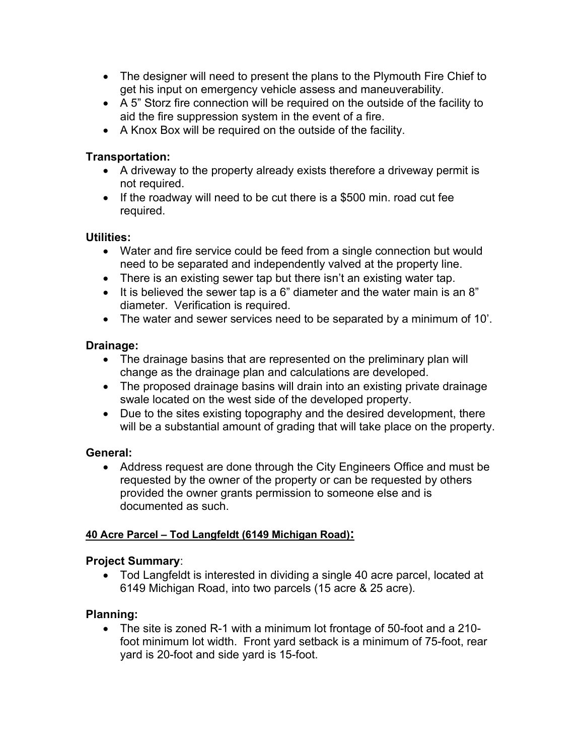- The designer will need to present the plans to the Plymouth Fire Chief to get his input on emergency vehicle assess and maneuverability.
- A 5" Storz fire connection will be required on the outside of the facility to aid the fire suppression system in the event of a fire.
- A Knox Box will be required on the outside of the facility.

# **Transportation:**

- A driveway to the property already exists therefore a driveway permit is not required.
- If the roadway will need to be cut there is a \$500 min. road cut fee required.

# **Utilities:**

- Water and fire service could be feed from a single connection but would need to be separated and independently valved at the property line.
- There is an existing sewer tap but there isn't an existing water tap.
- It is believed the sewer tap is a 6" diameter and the water main is an 8" diameter. Verification is required.
- The water and sewer services need to be separated by a minimum of 10'.

# **Drainage:**

- The drainage basins that are represented on the preliminary plan will change as the drainage plan and calculations are developed.
- The proposed drainage basins will drain into an existing private drainage swale located on the west side of the developed property.
- Due to the sites existing topography and the desired development, there will be a substantial amount of grading that will take place on the property.

# **General:**

• Address request are done through the City Engineers Office and must be requested by the owner of the property or can be requested by others provided the owner grants permission to someone else and is documented as such.

# **40 Acre Parcel – Tod Langfeldt (6149 Michigan Road):**

# **Project Summary**:

 Tod Langfeldt is interested in dividing a single 40 acre parcel, located at 6149 Michigan Road, into two parcels (15 acre & 25 acre).

# **Planning:**

• The site is zoned R-1 with a minimum lot frontage of 50-foot and a 210foot minimum lot width. Front yard setback is a minimum of 75-foot, rear yard is 20-foot and side yard is 15-foot.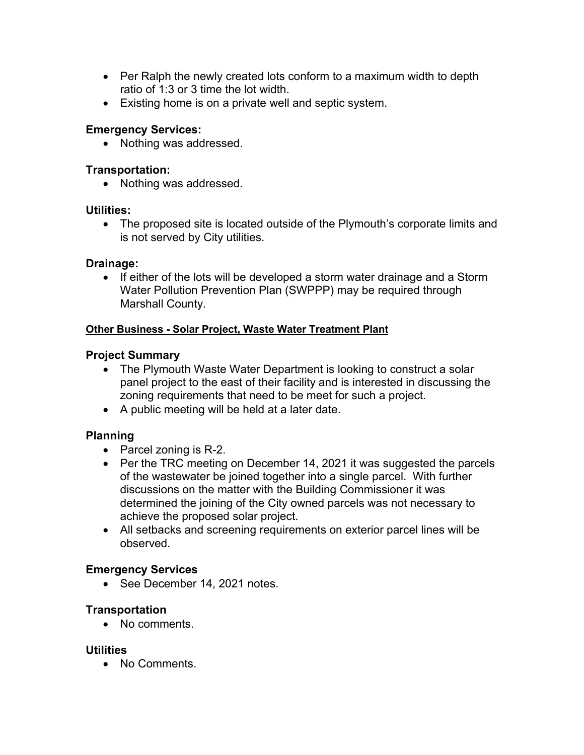- Per Ralph the newly created lots conform to a maximum width to depth ratio of 1:3 or 3 time the lot width.
- Existing home is on a private well and septic system.

# **Emergency Services:**

• Nothing was addressed.

## **Transportation:**

• Nothing was addressed.

## **Utilities:**

• The proposed site is located outside of the Plymouth's corporate limits and is not served by City utilities.

# **Drainage:**

• If either of the lots will be developed a storm water drainage and a Storm Water Pollution Prevention Plan (SWPPP) may be required through Marshall County.

## **Other Business - Solar Project, Waste Water Treatment Plant**

# **Project Summary**

- The Plymouth Waste Water Department is looking to construct a solar panel project to the east of their facility and is interested in discussing the zoning requirements that need to be meet for such a project.
- A public meeting will be held at a later date.

# **Planning**

- Parcel zoning is R-2.
- Per the TRC meeting on December 14, 2021 it was suggested the parcels of the wastewater be joined together into a single parcel. With further discussions on the matter with the Building Commissioner it was determined the joining of the City owned parcels was not necessary to achieve the proposed solar project.
- All setbacks and screening requirements on exterior parcel lines will be observed.

## **Emergency Services**

• See December 14, 2021 notes.

## **Transportation**

• No comments.

## **Utilities**

• No Comments.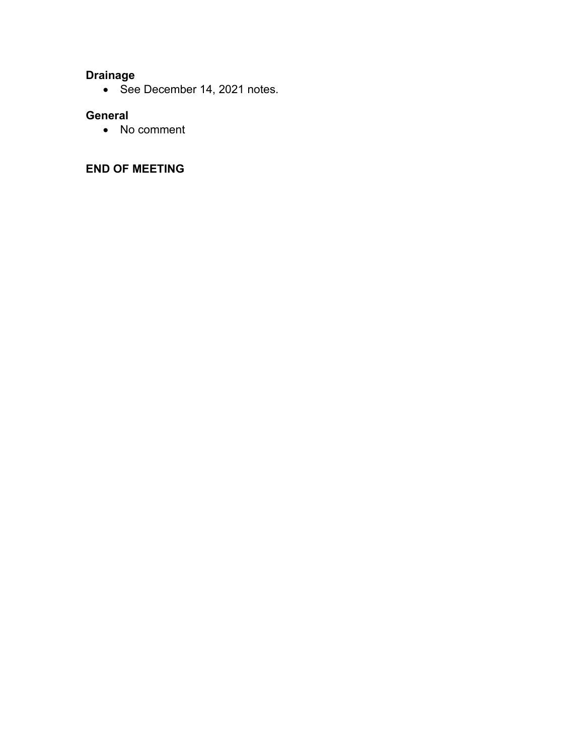# **Drainage**

• See December 14, 2021 notes.

# **General**

• No comment

# **END OF MEETING**